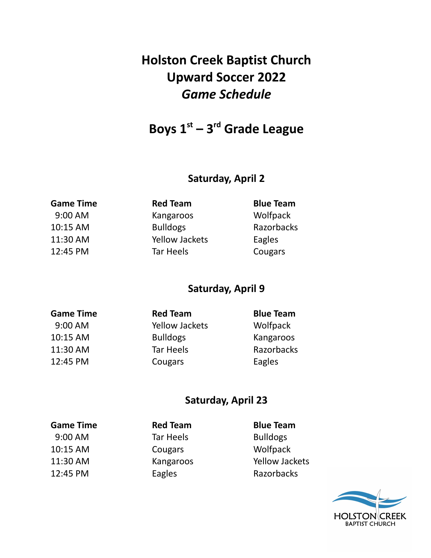# **Holston Creek Baptist Church Upward Soccer 2022** *Game Schedule*

## **Boys 1 st – 3 rd Grade League**

### **Saturday, April 2**

| <b>Red Team</b>       | <b>Blue Team</b> |
|-----------------------|------------------|
| Kangaroos             | Wolfpack         |
| <b>Bulldogs</b>       | Razorbacks       |
| <b>Yellow Jackets</b> | Eagles           |
| Tar Heels             | Cougars          |
|                       |                  |

### **Saturday, April 9**

| <b>Game Time</b> | <b>Red Team</b>       | <b>Blue Team</b> |
|------------------|-----------------------|------------------|
| 9:00 AM          | <b>Yellow Jackets</b> | Wolfpack         |
| 10:15 AM         | <b>Bulldogs</b>       | Kangaroos        |
| 11:30 AM         | <b>Tar Heels</b>      | Razorbacks       |
| 12:45 PM         | Cougars               | Eagles           |

## **Saturday, April 23**

| <b>Game Time</b> | <b>Red Team</b>  | <b>Blue Team</b>      |
|------------------|------------------|-----------------------|
| 9:00 AM          | <b>Tar Heels</b> | <b>Bulldogs</b>       |
| 10:15 AM         | Cougars          | Wolfpack              |
| 11:30 AM         | Kangaroos        | <b>Yellow Jackets</b> |
| 12:45 PM         | Eagles           | Razorbacks            |